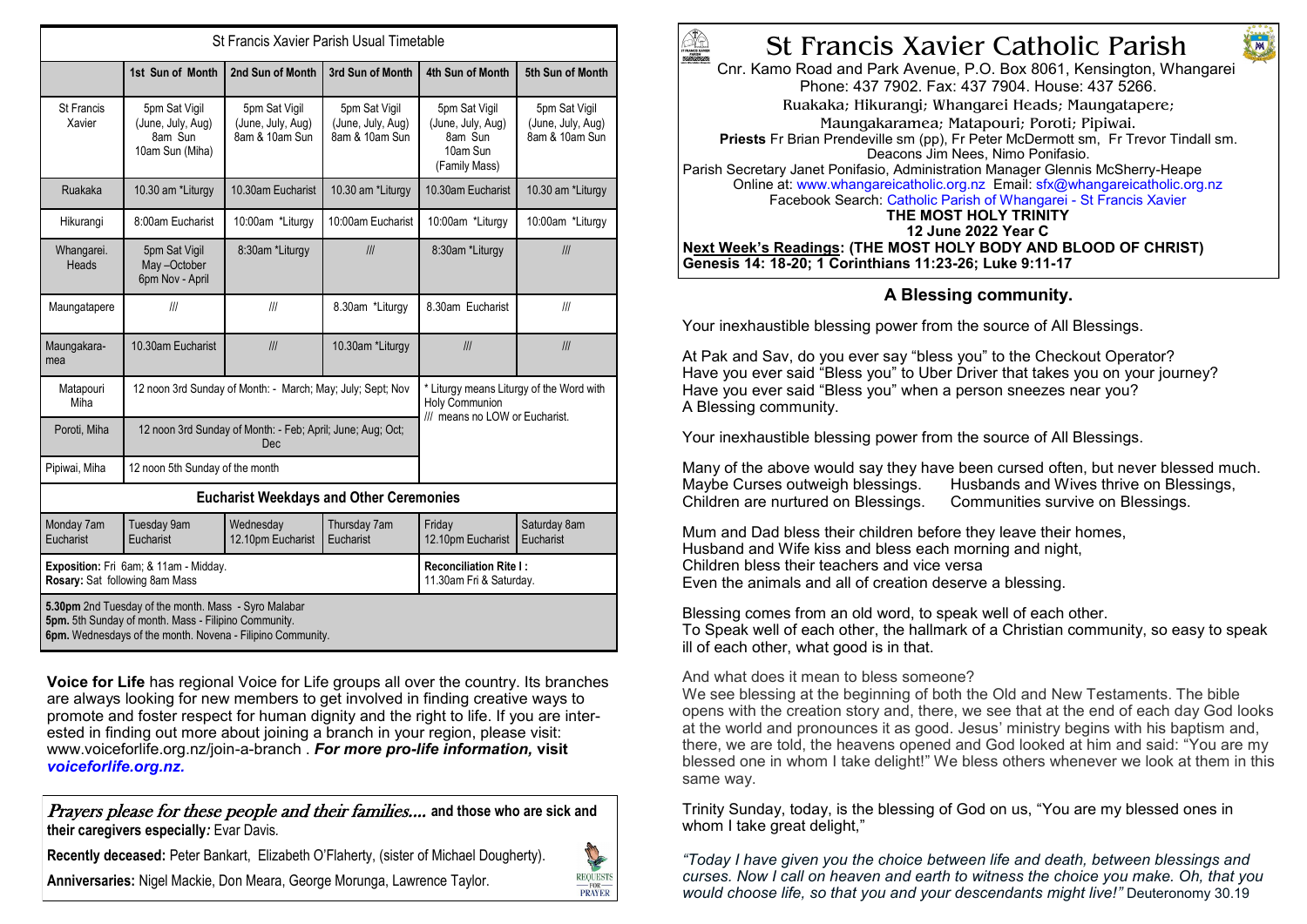| St Francis Xavier Parish Usual Timetable                                                                                                                                   |                                                                   |                                                      |                                                      |                                                                                                     |                                                      |
|----------------------------------------------------------------------------------------------------------------------------------------------------------------------------|-------------------------------------------------------------------|------------------------------------------------------|------------------------------------------------------|-----------------------------------------------------------------------------------------------------|------------------------------------------------------|
|                                                                                                                                                                            | 1st Sun of Month                                                  | 2nd Sun of Month                                     | 3rd Sun of Month                                     | 4th Sun of Month                                                                                    | 5th Sun of Month                                     |
| St Francis<br>Xavier                                                                                                                                                       | 5pm Sat Vigil<br>(June, July, Aug)<br>8am Sun<br>10am Sun (Miha)  | 5pm Sat Vigil<br>(June, July, Aug)<br>8am & 10am Sun | 5pm Sat Vigil<br>(June, July, Aug)<br>8am & 10am Sun | 5pm Sat Vigil<br>(June, July, Aug)<br>8am Sun<br>10am Sun<br>(Family Mass)                          | 5pm Sat Vigil<br>(June, July, Aug)<br>8am & 10am Sun |
| Ruakaka                                                                                                                                                                    | 10.30 am *Liturgy                                                 | 10.30am Eucharist                                    | 10.30 am *Liturgy                                    | 10.30am Eucharist                                                                                   | 10.30 am *Liturgy                                    |
| Hikurangi                                                                                                                                                                  | 8:00am Eucharist                                                  | 10:00am *Liturgy                                     | 10:00am Eucharist                                    | 10:00am *Liturgy                                                                                    | 10:00am *Liturgy                                     |
| Whangarei.<br>Heads                                                                                                                                                        | 5pm Sat Vigil<br>May-October<br>6pm Nov - April                   | 8:30am *Liturgy                                      | III                                                  | 8:30am *Liturgy                                                                                     | III                                                  |
| Maungatapere                                                                                                                                                               | III                                                               | III                                                  | 8.30am *Liturgy                                      | 8.30am Eucharist                                                                                    | III                                                  |
| Maungakara-<br>mea                                                                                                                                                         | 10.30am Eucharist                                                 | III                                                  | 10.30am *Liturgy                                     | III                                                                                                 | III                                                  |
| Matapouri<br>Miha                                                                                                                                                          | 12 noon 3rd Sunday of Month: - March; May; July; Sept; Nov        |                                                      |                                                      | * Liturgy means Liturgy of the Word with<br><b>Holy Communion</b><br>/// means no LOW or Eucharist. |                                                      |
| Poroti, Miha                                                                                                                                                               | 12 noon 3rd Sunday of Month: - Feb; April; June; Aug; Oct;<br>Dec |                                                      |                                                      |                                                                                                     |                                                      |
| Pipiwai, Miha                                                                                                                                                              | 12 noon 5th Sunday of the month                                   |                                                      |                                                      |                                                                                                     |                                                      |
| <b>Eucharist Weekdays and Other Ceremonies</b>                                                                                                                             |                                                                   |                                                      |                                                      |                                                                                                     |                                                      |
| Monday 7am<br>Eucharist                                                                                                                                                    | Tuesday 9am<br>Eucharist                                          | Wednesday<br>12.10pm Eucharist                       | Thursday 7am<br>Eucharist                            | Friday<br>12.10pm Eucharist                                                                         | Saturday 8am<br>Eucharist                            |
| Exposition: Fri 6am; & 11am - Midday.<br>Rosary: Sat following 8am Mass                                                                                                    |                                                                   |                                                      |                                                      | <b>Reconciliation Rite I:</b><br>11.30am Fri & Saturday.                                            |                                                      |
| 5.30pm 2nd Tuesday of the month. Mass - Syro Malabar<br>5pm. 5th Sunday of month. Mass - Filipino Community.<br>6pm. Wednesdays of the month. Novena - Filipino Community. |                                                                   |                                                      |                                                      |                                                                                                     |                                                      |

**Voice for Life** has regional Voice for Life groups all over the country. Its branches are always looking for new members to get involved in finding creative ways to promote and foster respect for human dignity and the right to life. If you are interested in finding out more about joining a branch in your region, please visit: www.voiceforlife.org.nz/join-a-branch . *For more pro-life information,* **visit**  *voiceforlife.org.nz.* 

Prayers please for these people and their families.... **and those who are sick and their caregivers especially***:* Evar Davis*.* 

**Recently deceased:** Peter Bankart, Elizabeth O'Flaherty, (sister of Michael Dougherty).

**Anniversaries:** Nigel Mackie, Don Meara, George Morunga, Lawrence Taylor.





M

Cnr. Kamo Road and Park Avenue, P.O. Box 8061, Kensington, Whangarei Phone: 437 7902. Fax: 437 7904. House: 437 5266. Ruakaka; Hikurangi; Whangarei Heads; Maungatapere; Maungakaramea; Matapouri; Poroti; Pipiwai. **Priests** Fr Brian Prendeville sm (pp), Fr Peter McDermott sm, Fr Trevor Tindall sm. Deacons Jim Nees, Nimo Ponifasio. Parish Secretary Janet Ponifasio, Administration Manager Glennis McSherry-Heape Online at: www.whangareicatholic.org.nz Email: sfx@whangareicatholic.org.nz Facebook Search: Catholic Parish of Whangarei - St Francis Xavier **THE MOST HOLY TRINITY 12 June 2022 Year C Next Week's Readings: (THE MOST HOLY BODY AND BLOOD OF CHRIST) Genesis 14: 18-20; 1 Corinthians 11:23-26; Luke 9:11-17**

### **A Blessing community.**

Your inexhaustible blessing power from the source of All Blessings.

At Pak and Sav, do you ever say "bless you" to the Checkout Operator? Have you ever said "Bless you" to Uber Driver that takes you on your journey? Have you ever said "Bless you" when a person sneezes near you? A Blessing community.

Your inexhaustible blessing power from the source of All Blessings.

Many of the above would say they have been cursed often, but never blessed much.<br>Maybe Curses outweigh blessings. Husbands and Wives thrive on Blessings. Husbands and Wives thrive on Blessings. Children are nurtured on Blessings. Communities survive on Blessings.

Mum and Dad bless their children before they leave their homes, Husband and Wife kiss and bless each morning and night, Children bless their teachers and vice versa Even the animals and all of creation deserve a blessing.

Blessing comes from an old word, to speak well of each other. To Speak well of each other, the hallmark of a Christian community, so easy to speak ill of each other, what good is in that.

And what does it mean to bless someone?

We see blessing at the beginning of both the Old and New Testaments. The bible opens with the creation story and, there, we see that at the end of each day God looks at the world and pronounces it as good. Jesus' ministry begins with his baptism and, there, we are told, the heavens opened and God looked at him and said: "You are my blessed one in whom I take delight!" We bless others whenever we look at them in this same way.

Trinity Sunday, today, is the blessing of God on us, "You are my blessed ones in whom I take great delight,"

*"Today I have given you the choice between life and death, between blessings and curses. Now I call on heaven and earth to witness the choice you make. Oh, that you would choose life, so that you and your descendants might live!"* Deuteronomy 30.19